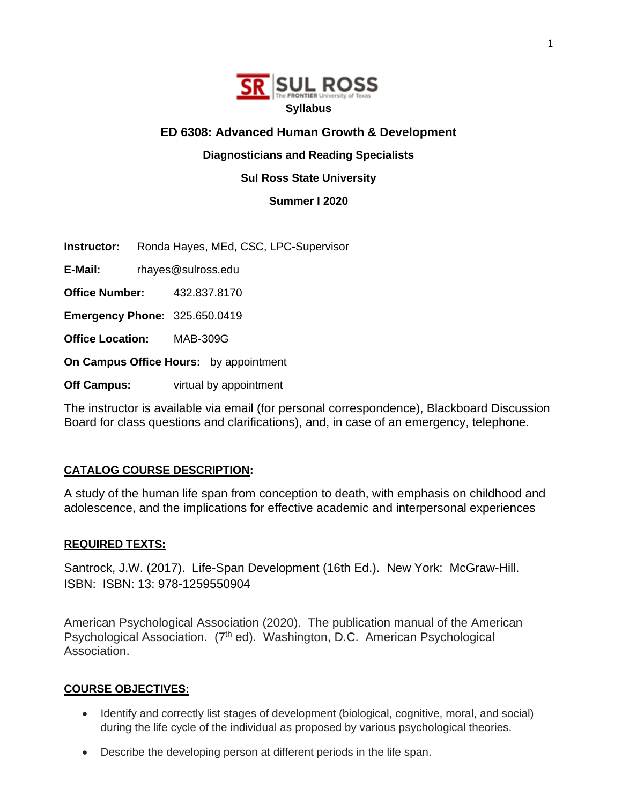

# **ED 6308: Advanced Human Growth & Development**

# **Diagnosticians and Reading Specialists**

**Sul Ross State University**

**Summer I 2020**

**Instructor:** Ronda Hayes, MEd, CSC, LPC-Supervisor

**E-Mail:** rhayes@sulross.edu

**Office Number:** 432.837.8170

**Emergency Phone:** 325.650.0419

**Office Location:** MAB-309G

**On Campus Office Hours:** by appointment

**Off Campus:** virtual by appointment

The instructor is available via email (for personal correspondence), Blackboard Discussion Board for class questions and clarifications), and, in case of an emergency, telephone.

# **CATALOG COURSE DESCRIPTION:**

A study of the human life span from conception to death, with emphasis on childhood and adolescence, and the implications for effective academic and interpersonal experiences

# **REQUIRED TEXTS:**

Santrock, J.W. (2017). Life-Span Development (16th Ed.). New York: McGraw-Hill. ISBN: ISBN: 13: 978-1259550904

American Psychological Association (2020). The publication manual of the American Psychological Association. (7<sup>th</sup> ed). Washington, D.C. American Psychological Association.

# **COURSE OBJECTIVES:**

- Identify and correctly list stages of development (biological, cognitive, moral, and social) during the life cycle of the individual as proposed by various psychological theories.
- Describe the developing person at different periods in the life span.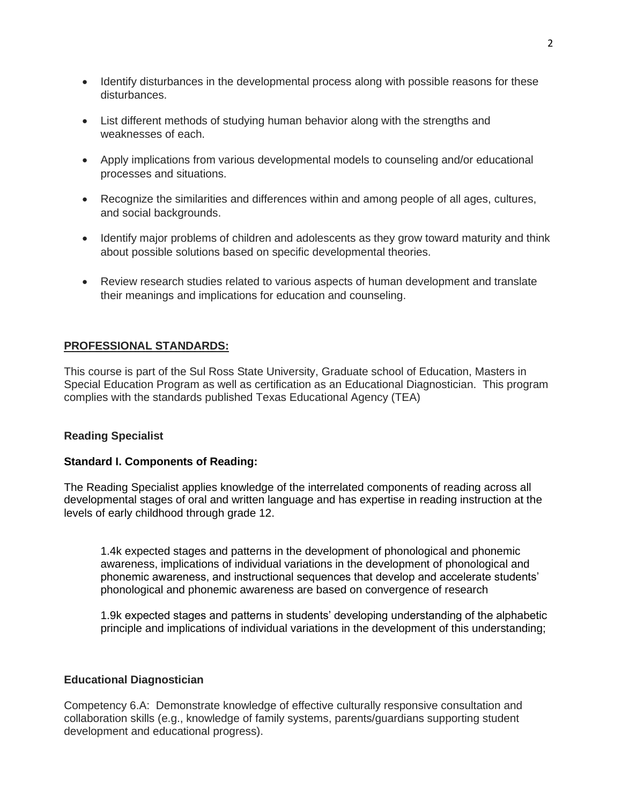- Identify disturbances in the developmental process along with possible reasons for these disturbances.
- List different methods of studying human behavior along with the strengths and weaknesses of each.
- Apply implications from various developmental models to counseling and/or educational processes and situations.
- Recognize the similarities and differences within and among people of all ages, cultures, and social backgrounds.
- Identify major problems of children and adolescents as they grow toward maturity and think about possible solutions based on specific developmental theories.
- Review research studies related to various aspects of human development and translate their meanings and implications for education and counseling.

# **PROFESSIONAL STANDARDS:**

This course is part of the Sul Ross State University, Graduate school of Education, Masters in Special Education Program as well as certification as an Educational Diagnostician. This program complies with the standards published Texas Educational Agency (TEA)

### **Reading Specialist**

### **Standard I. Components of Reading:**

The Reading Specialist applies knowledge of the interrelated components of reading across all developmental stages of oral and written language and has expertise in reading instruction at the levels of early childhood through grade 12.

1.4k expected stages and patterns in the development of phonological and phonemic awareness, implications of individual variations in the development of phonological and phonemic awareness, and instructional sequences that develop and accelerate students' phonological and phonemic awareness are based on convergence of research

1.9k expected stages and patterns in students' developing understanding of the alphabetic principle and implications of individual variations in the development of this understanding;

#### **Educational Diagnostician**

Competency 6.A: Demonstrate knowledge of effective culturally responsive consultation and collaboration skills (e.g., knowledge of family systems, parents/guardians supporting student development and educational progress).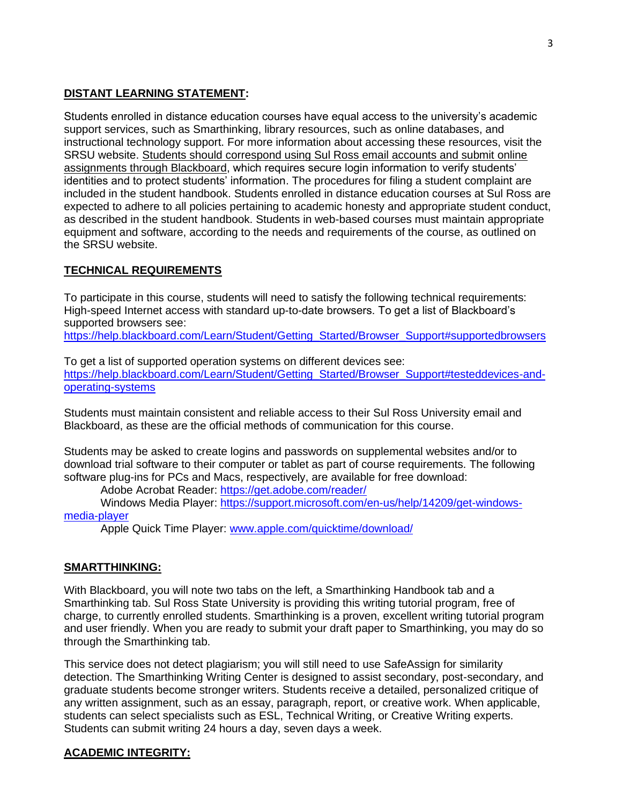# **DISTANT LEARNING STATEMENT:**

Students enrolled in distance education courses have equal access to the university's academic support services, such as Smarthinking, library resources, such as online databases, and instructional technology support. For more information about accessing these resources, visit the SRSU website. Students should correspond using Sul Ross email accounts and submit online assignments through Blackboard, which requires secure login information to verify students' identities and to protect students' information. The procedures for filing a student complaint are included in the student handbook. Students enrolled in distance education courses at Sul Ross are expected to adhere to all policies pertaining to academic honesty and appropriate student conduct, as described in the student handbook. Students in web-based courses must maintain appropriate equipment and software, according to the needs and requirements of the course, as outlined on the SRSU website.

# **TECHNICAL REQUIREMENTS**

To participate in this course, students will need to satisfy the following technical requirements: High-speed Internet access with standard up-to-date browsers. To get a list of Blackboard's supported browsers see:

[https://help.blackboard.com/Learn/Student/Getting\\_Started/Browser\\_Support#supportedbrowsers](https://help.blackboard.com/Learn/Student/Getting_Started/Browser_Support%23supportedbrowsers)

To get a list of supported operation systems on different devices see: [https://help.blackboard.com/Learn/Student/Getting\\_Started/Browser\\_Support#testeddevices-and](https://help.blackboard.com/Learn/Student/Getting_Started/Browser_Support%23testeddevices-and-operating-systems)[operating-systems](https://help.blackboard.com/Learn/Student/Getting_Started/Browser_Support%23testeddevices-and-operating-systems)

Students must maintain consistent and reliable access to their Sul Ross University email and Blackboard, as these are the official methods of communication for this course.

Students may be asked to create logins and passwords on supplemental websites and/or to download trial software to their computer or tablet as part of course requirements. The following software plug-ins for PCs and Macs, respectively, are available for free download:

Adobe Acrobat Reader:<https://get.adobe.com/reader/>

Windows Media Player: [https://support.microsoft.com/en-us/help/14209/get-windows](https://support.microsoft.com/en-us/help/14209/get-windows-media-player)[media-player](https://support.microsoft.com/en-us/help/14209/get-windows-media-player)

Apple Quick Time Player: [www.apple.com/quicktime/download/](file:///C:/Users/lisa.sousa/AppData/Roaming/Microsoft/Word/www.apple.com/quicktime/download/)

# **SMARTTHINKING:**

With Blackboard, you will note two tabs on the left, a Smarthinking Handbook tab and a Smarthinking tab. Sul Ross State University is providing this writing tutorial program, free of charge, to currently enrolled students. Smarthinking is a proven, excellent writing tutorial program and user friendly. When you are ready to submit your draft paper to Smarthinking, you may do so through the Smarthinking tab.

This service does not detect plagiarism; you will still need to use SafeAssign for similarity detection. The Smarthinking Writing Center is designed to assist secondary, post-secondary, and graduate students become stronger writers. Students receive a detailed, personalized critique of any written assignment, such as an essay, paragraph, report, or creative work. When applicable, students can select specialists such as ESL, Technical Writing, or Creative Writing experts. Students can submit writing 24 hours a day, seven days a week.

# **ACADEMIC INTEGRITY:**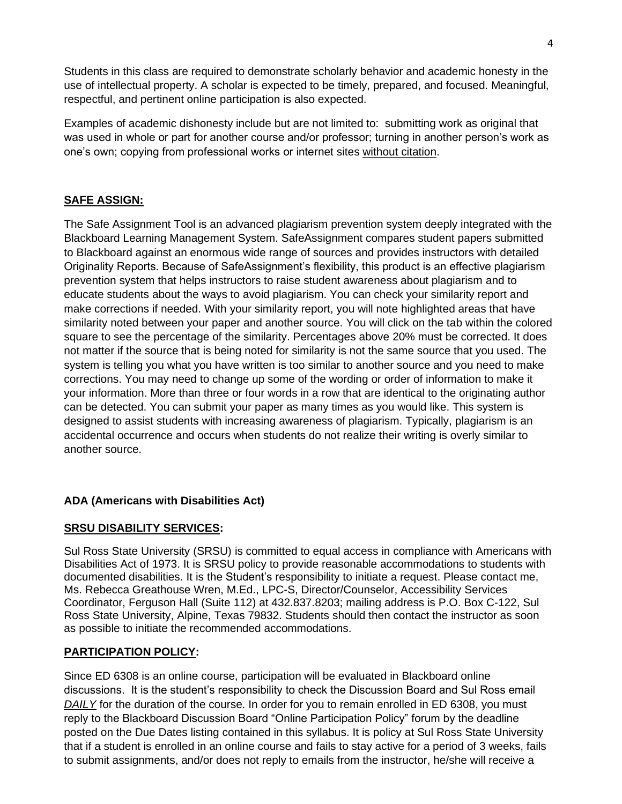Students in this class are required to demonstrate scholarly behavior and academic honesty in the use of intellectual property. A scholar is expected to be timely, prepared, and focused. Meaningful, respectful, and pertinent online participation is also expected.

Examples of academic dishonesty include but are not limited to: submitting work as original that was used in whole or part for another course and/or professor; turning in another person's work as one's own; copying from professional works or internet sites without citation.

# **SAFE ASSIGN:**

The Safe Assignment Tool is an advanced plagiarism prevention system deeply integrated with the Blackboard Learning Management System. SafeAssignment compares student papers submitted to Blackboard against an enormous wide range of sources and provides instructors with detailed Originality Reports. Because of SafeAssignment's flexibility, this product is an effective plagiarism prevention system that helps instructors to raise student awareness about plagiarism and to educate students about the ways to avoid plagiarism. You can check your similarity report and make corrections if needed. With your similarity report, you will note highlighted areas that have similarity noted between your paper and another source. You will click on the tab within the colored square to see the percentage of the similarity. Percentages above 20% must be corrected. It does not matter if the source that is being noted for similarity is not the same source that you used. The system is telling you what you have written is too similar to another source and you need to make corrections. You may need to change up some of the wording or order of information to make it your information. More than three or four words in a row that are identical to the originating author can be detected. You can submit your paper as many times as you would like. This system is designed to assist students with increasing awareness of plagiarism. Typically, plagiarism is an accidental occurrence and occurs when students do not realize their writing is overly similar to another source.

# **ADA (Americans with Disabilities Act)**

# **SRSU DISABILITY SERVICES:**

Sul Ross State University (SRSU) is committed to equal access in compliance with Americans with Disabilities Act of 1973. It is SRSU policy to provide reasonable accommodations to students with documented disabilities. It is the Student's responsibility to initiate a request. Please contact me, Ms. Rebecca Greathouse Wren, M.Ed., LPC-S, Director/Counselor, Accessibility Services Coordinator, Ferguson Hall (Suite 112) at 432.837.8203; mailing address is P.O. Box C-122, Sul Ross State University, Alpine, Texas 79832. Students should then contact the instructor as soon as possible to initiate the recommended accommodations.

# **PARTICIPATION POLICY:**

Since ED 6308 is an online course, participation will be evaluated in Blackboard online discussions. It is the student's responsibility to check the Discussion Board and Sul Ross email *DAILY* for the duration of the course. In order for you to remain enrolled in ED 6308, you must reply to the Blackboard Discussion Board "Online Participation Policy" forum by the deadline posted on the Due Dates listing contained in this syllabus. It is policy at Sul Ross State University that if a student is enrolled in an online course and fails to stay active for a period of 3 weeks, fails to submit assignments, and/or does not reply to emails from the instructor, he/she will receive a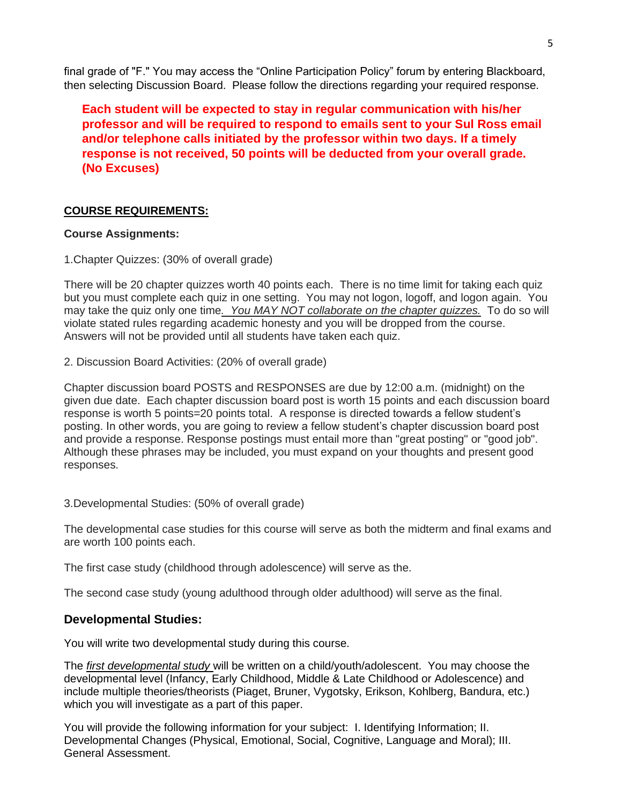final grade of "F." You may access the "Online Participation Policy" forum by entering Blackboard, then selecting Discussion Board. Please follow the directions regarding your required response.

**Each student will be expected to stay in regular communication with his/her professor and will be required to respond to emails sent to your Sul Ross email and/or telephone calls initiated by the professor within two days. If a timely response is not received, 50 points will be deducted from your overall grade. (No Excuses)**

# **COURSE REQUIREMENTS:**

# **Course Assignments:**

1.Chapter Quizzes: (30% of overall grade)

There will be 20 chapter quizzes worth 40 points each. There is no time limit for taking each quiz but you must complete each quiz in one setting. You may not logon, logoff, and logon again. You may take the quiz only one time*. You MAY NOT collaborate on the chapter quizzes.* To do so will violate stated rules regarding academic honesty and you will be dropped from the course. Answers will not be provided until all students have taken each quiz.

2. Discussion Board Activities: (20% of overall grade)

Chapter discussion board POSTS and RESPONSES are due by 12:00 a.m. (midnight) on the given due date. Each chapter discussion board post is worth 15 points and each discussion board response is worth 5 points=20 points total. A response is directed towards a fellow student's posting. In other words, you are going to review a fellow student's chapter discussion board post and provide a response. Response postings must entail more than "great posting" or "good job". Although these phrases may be included, you must expand on your thoughts and present good responses.

3.Developmental Studies: (50% of overall grade)

The developmental case studies for this course will serve as both the midterm and final exams and are worth 100 points each.

The first case study (childhood through adolescence) will serve as the.

The second case study (young adulthood through older adulthood) will serve as the final.

# **Developmental Studies:**

You will write two developmental study during this course.

The *first developmental study* will be written on a child/youth/adolescent. You may choose the developmental level (Infancy, Early Childhood, Middle & Late Childhood or Adolescence) and include multiple theories/theorists (Piaget, Bruner, Vygotsky, Erikson, Kohlberg, Bandura, etc.) which you will investigate as a part of this paper.

You will provide the following information for your subject: I. Identifying Information; II. Developmental Changes (Physical, Emotional, Social, Cognitive, Language and Moral); III. General Assessment.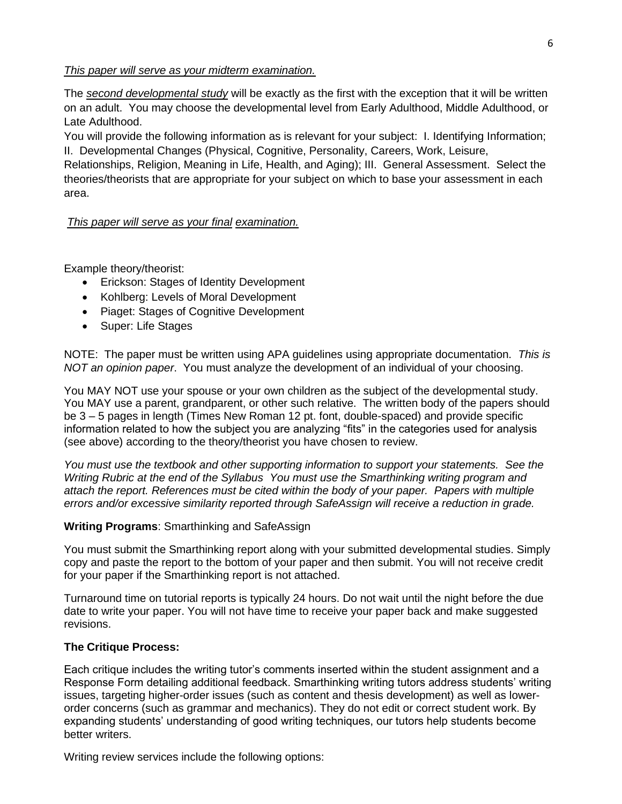### *This paper will serve as your midterm examination.*

The *second developmental study* will be exactly as the first with the exception that it will be written on an adult. You may choose the developmental level from Early Adulthood, Middle Adulthood, or Late Adulthood.

You will provide the following information as is relevant for your subject: I. Identifying Information; II. Developmental Changes (Physical, Cognitive, Personality, Careers, Work, Leisure,

Relationships, Religion, Meaning in Life, Health, and Aging); III. General Assessment. Select the theories/theorists that are appropriate for your subject on which to base your assessment in each area.

# *This paper will serve as your final examination.*

Example theory/theorist:

- Erickson: Stages of Identity Development
- Kohlberg: Levels of Moral Development
- Piaget: Stages of Cognitive Development
- Super: Life Stages

NOTE: The paper must be written using APA guidelines using appropriate documentation. *This is NOT an opinion paper*. You must analyze the development of an individual of your choosing.

You MAY NOT use your spouse or your own children as the subject of the developmental study. You MAY use a parent, grandparent, or other such relative. The written body of the papers should be 3 – 5 pages in length (Times New Roman 12 pt. font, double-spaced) and provide specific information related to how the subject you are analyzing "fits" in the categories used for analysis (see above) according to the theory/theorist you have chosen to review.

*You must use the textbook and other supporting information to support your statements. See the Writing Rubric at the end of the Syllabus You must use the Smarthinking writing program and attach the report. References must be cited within the body of your paper. Papers with multiple errors and/or excessive similarity reported through SafeAssign will receive a reduction in grade.*

### **Writing Programs**: Smarthinking and SafeAssign

You must submit the Smarthinking report along with your submitted developmental studies. Simply copy and paste the report to the bottom of your paper and then submit. You will not receive credit for your paper if the Smarthinking report is not attached.

Turnaround time on tutorial reports is typically 24 hours. Do not wait until the night before the due date to write your paper. You will not have time to receive your paper back and make suggested revisions.

# **The Critique Process:**

Each critique includes the writing tutor's comments inserted within the student assignment and a Response Form detailing additional feedback. Smarthinking writing tutors address students' writing issues, targeting higher-order issues (such as content and thesis development) as well as lowerorder concerns (such as grammar and mechanics). They do not edit or correct student work. By expanding students' understanding of good writing techniques, our tutors help students become better writers.

Writing review services include the following options: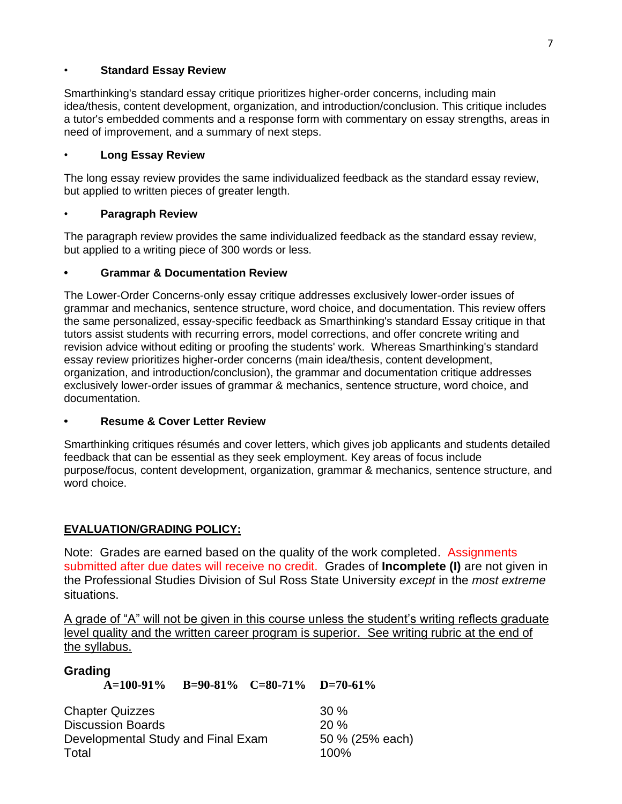# • **Standard Essay Review**

Smarthinking's standard essay critique prioritizes higher-order concerns, including main idea/thesis, content development, organization, and introduction/conclusion. This critique includes a tutor's embedded comments and a response form with commentary on essay strengths, areas in need of improvement, and a summary of next steps.

# • **Long Essay Review**

The long essay review provides the same individualized feedback as the standard essay review, but applied to written pieces of greater length.

# • **Paragraph Review**

The paragraph review provides the same individualized feedback as the standard essay review, but applied to a writing piece of 300 words or less.

# **• Grammar & Documentation Review**

The Lower-Order Concerns-only essay critique addresses exclusively lower-order issues of grammar and mechanics, sentence structure, word choice, and documentation. This review offers the same personalized, essay-specific feedback as Smarthinking's standard Essay critique in that tutors assist students with recurring errors, model corrections, and offer concrete writing and revision advice without editing or proofing the students' work. Whereas Smarthinking's standard essay review prioritizes higher-order concerns (main idea/thesis, content development, organization, and introduction/conclusion), the grammar and documentation critique addresses exclusively lower-order issues of grammar & mechanics, sentence structure, word choice, and documentation.

# **• Resume & Cover Letter Review**

Smarthinking critiques résumés and cover letters, which gives job applicants and students detailed feedback that can be essential as they seek employment. Key areas of focus include purpose/focus, content development, organization, grammar & mechanics, sentence structure, and word choice.

# **EVALUATION/GRADING POLICY:**

Note: Grades are earned based on the quality of the work completed. Assignments submitted after due dates will receive no credit. Grades of **Incomplete (I)** are not given in the Professional Studies Division of Sul Ross State University *except* in the *most extreme*  situations.

A grade of "A" will not be given in this course unless the student's writing reflects graduate level quality and the written career program is superior. See writing rubric at the end of the syllabus.

| Grading                                                                                           | A=100-91% B=90-81% C=80-71% D=70-61% |                                       |  |
|---------------------------------------------------------------------------------------------------|--------------------------------------|---------------------------------------|--|
| <b>Chapter Quizzes</b><br><b>Discussion Boards</b><br>Developmental Study and Final Exam<br>Total |                                      | 30%<br>20%<br>50 % (25% each)<br>100% |  |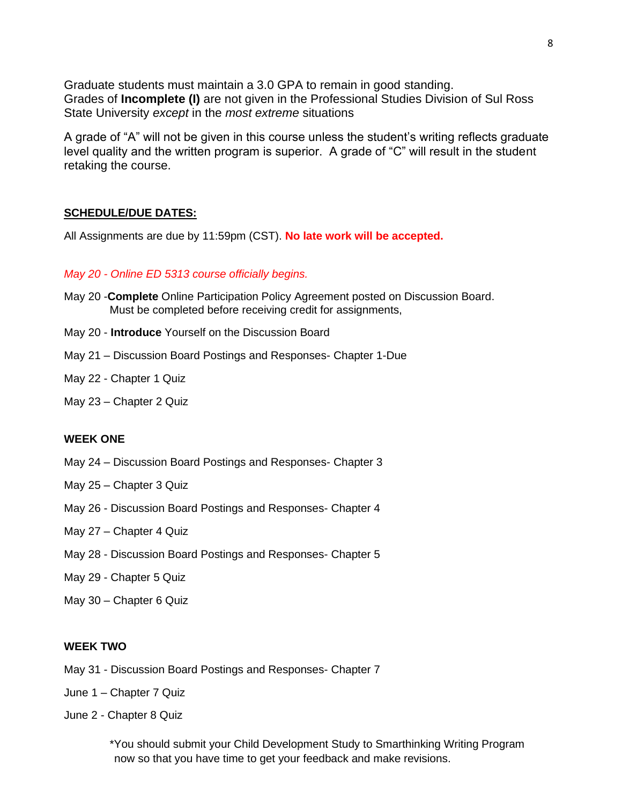Graduate students must maintain a 3.0 GPA to remain in good standing. Grades of **Incomplete (I)** are not given in the Professional Studies Division of Sul Ross State University *except* in the *most extreme* situations

A grade of "A" will not be given in this course unless the student's writing reflects graduate level quality and the written program is superior. A grade of "C" will result in the student retaking the course.

### **SCHEDULE/DUE DATES:**

All Assignments are due by 11:59pm (CST). **No late work will be accepted.** 

### *May 20 - Online ED 5313 course officially begins.*

- May 20 -**Complete** Online Participation Policy Agreement posted on Discussion Board. Must be completed before receiving credit for assignments,
- May 20 **Introduce** Yourself on the Discussion Board
- May 21 Discussion Board Postings and Responses- Chapter 1-Due
- May 22 Chapter 1 Quiz
- May 23 Chapter 2 Quiz

### **WEEK ONE**

- May 24 Discussion Board Postings and Responses- Chapter 3
- May 25 Chapter 3 Quiz
- May 26 Discussion Board Postings and Responses- Chapter 4
- May 27 Chapter 4 Quiz
- May 28 Discussion Board Postings and Responses- Chapter 5
- May 29 Chapter 5 Quiz
- May 30 Chapter 6 Quiz

#### **WEEK TWO**

- May 31 Discussion Board Postings and Responses- Chapter 7
- June 1 Chapter 7 Quiz
- June 2 Chapter 8 Quiz

\*You should submit your Child Development Study to Smarthinking Writing Program now so that you have time to get your feedback and make revisions.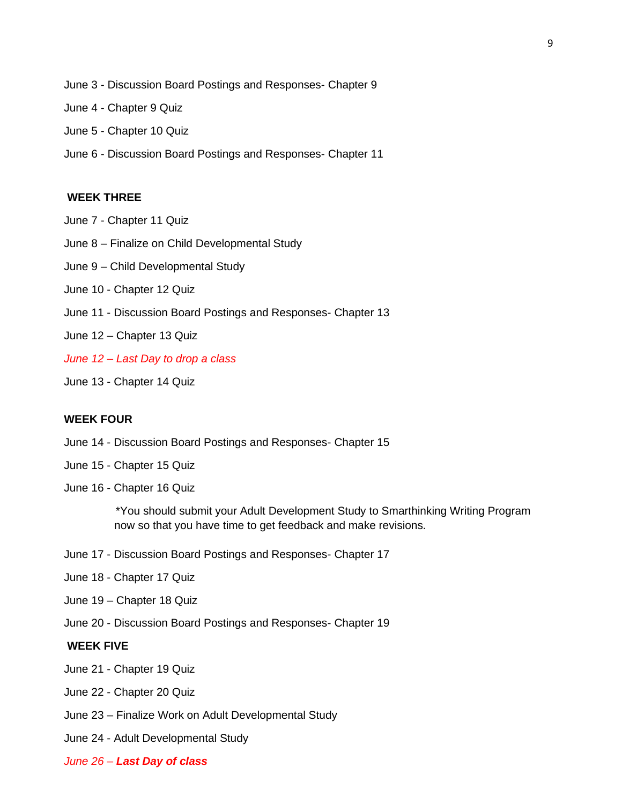- June 3 Discussion Board Postings and Responses- Chapter 9
- June 4 Chapter 9 Quiz
- June 5 Chapter 10 Quiz
- June 6 Discussion Board Postings and Responses- Chapter 11

### **WEEK THREE**

- June 7 Chapter 11 Quiz
- June 8 Finalize on Child Developmental Study
- June 9 Child Developmental Study
- June 10 Chapter 12 Quiz
- June 11 Discussion Board Postings and Responses- Chapter 13
- June 12 Chapter 13 Quiz
- *June 12 – Last Day to drop a class*
- June 13 Chapter 14 Quiz

### **WEEK FOUR**

- June 14 Discussion Board Postings and Responses- Chapter 15
- June 15 Chapter 15 Quiz
- June 16 Chapter 16 Quiz

\*You should submit your Adult Development Study to Smarthinking Writing Program now so that you have time to get feedback and make revisions.

- June 17 Discussion Board Postings and Responses- Chapter 17
- June 18 Chapter 17 Quiz
- June 19 Chapter 18 Quiz
- June 20 Discussion Board Postings and Responses- Chapter 19

#### **WEEK FIVE**

- June 21 Chapter 19 Quiz
- June 22 Chapter 20 Quiz
- June 23 Finalize Work on Adult Developmental Study
- June 24 Adult Developmental Study
- *June 26 – Last Day of class*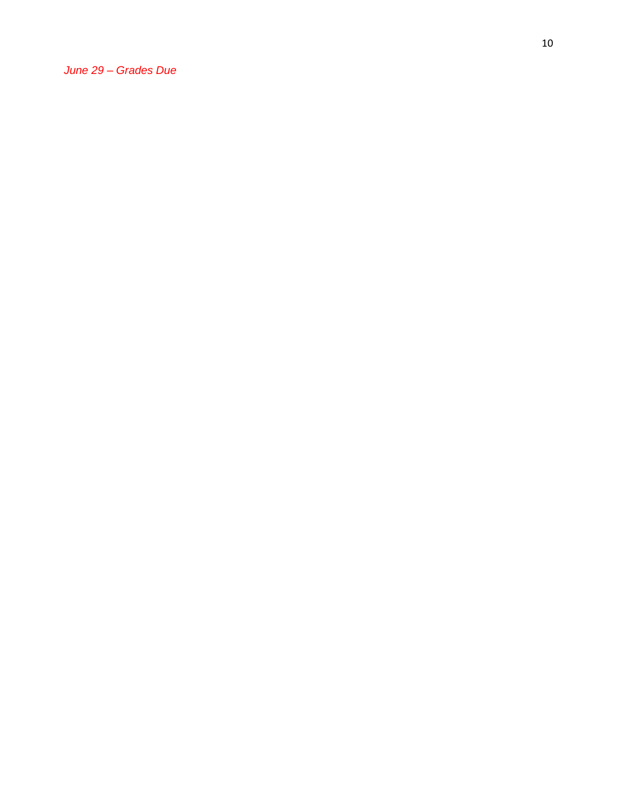*June 29 – Grades Due*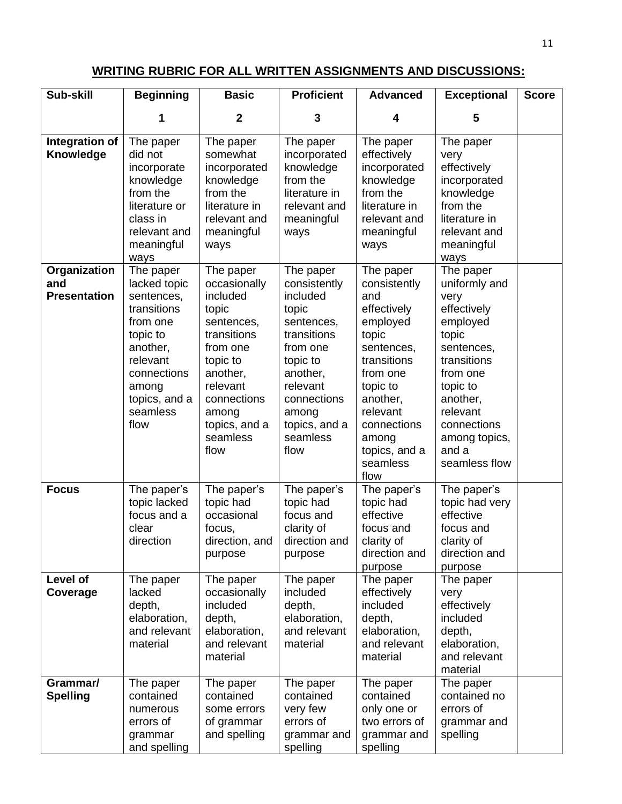# **WRITING RUBRIC FOR ALL WRITTEN ASSIGNMENTS AND DISCUSSIONS:**

| Sub-skill                                  | <b>Beginning</b>                                                                                                                                                    | <b>Basic</b>                                                                                                                                                                             | <b>Proficient</b>                                                                                                                                                                        | <b>Advanced</b>                                                                                                                                                                                                | <b>Exceptional</b>                                                                                                                                                                                            | <b>Score</b> |
|--------------------------------------------|---------------------------------------------------------------------------------------------------------------------------------------------------------------------|------------------------------------------------------------------------------------------------------------------------------------------------------------------------------------------|------------------------------------------------------------------------------------------------------------------------------------------------------------------------------------------|----------------------------------------------------------------------------------------------------------------------------------------------------------------------------------------------------------------|---------------------------------------------------------------------------------------------------------------------------------------------------------------------------------------------------------------|--------------|
|                                            | 1                                                                                                                                                                   | $\boldsymbol{2}$                                                                                                                                                                         | 3                                                                                                                                                                                        | 4                                                                                                                                                                                                              | 5                                                                                                                                                                                                             |              |
| Integration of<br>Knowledge                | The paper<br>did not<br>incorporate<br>knowledge<br>from the<br>literature or<br>class in<br>relevant and<br>meaningful<br>ways                                     | The paper<br>somewhat<br>incorporated<br>knowledge<br>from the<br>literature in<br>relevant and<br>meaningful<br>ways                                                                    | The paper<br>incorporated<br>knowledge<br>from the<br>literature in<br>relevant and<br>meaningful<br>ways                                                                                | The paper<br>effectively<br>incorporated<br>knowledge<br>from the<br>literature in<br>relevant and<br>meaningful<br>ways                                                                                       | The paper<br>very<br>effectively<br>incorporated<br>knowledge<br>from the<br>literature in<br>relevant and<br>meaningful<br>ways                                                                              |              |
| Organization<br>and<br><b>Presentation</b> | The paper<br>lacked topic<br>sentences,<br>transitions<br>from one<br>topic to<br>another,<br>relevant<br>connections<br>among<br>topics, and a<br>seamless<br>flow | The paper<br>occasionally<br>included<br>topic<br>sentences,<br>transitions<br>from one<br>topic to<br>another,<br>relevant<br>connections<br>among<br>topics, and a<br>seamless<br>flow | The paper<br>consistently<br>included<br>topic<br>sentences,<br>transitions<br>from one<br>topic to<br>another,<br>relevant<br>connections<br>among<br>topics, and a<br>seamless<br>flow | The paper<br>consistently<br>and<br>effectively<br>employed<br>topic<br>sentences,<br>transitions<br>from one<br>topic to<br>another,<br>relevant<br>connections<br>among<br>topics, and a<br>seamless<br>flow | The paper<br>uniformly and<br>very<br>effectively<br>employed<br>topic<br>sentences,<br>transitions<br>from one<br>topic to<br>another,<br>relevant<br>connections<br>among topics,<br>and a<br>seamless flow |              |
| <b>Focus</b>                               | The paper's<br>topic lacked<br>focus and a<br>clear<br>direction                                                                                                    | The paper's<br>topic had<br>occasional<br>focus,<br>direction, and<br>purpose                                                                                                            | The paper's<br>topic had<br>focus and<br>clarity of<br>direction and<br>purpose                                                                                                          | The paper's<br>topic had<br>effective<br>focus and<br>clarity of<br>direction and<br>purpose                                                                                                                   | The paper's<br>topic had very<br>effective<br>focus and<br>clarity of<br>direction and<br>purpose                                                                                                             |              |
| Level of<br>Coverage                       | The paper<br>lacked<br>depth,<br>elaboration,<br>and relevant<br>material                                                                                           | The paper<br>occasionally<br>included<br>depth,<br>elaboration,<br>and relevant<br>material                                                                                              | The paper<br>included<br>depth,<br>elaboration,<br>and relevant<br>material                                                                                                              | The paper<br>effectively<br>included<br>depth,<br>elaboration,<br>and relevant<br>material                                                                                                                     | The paper<br>very<br>effectively<br>included<br>depth,<br>elaboration,<br>and relevant<br>material                                                                                                            |              |
| Grammar/<br><b>Spelling</b>                | The paper<br>contained<br>numerous<br>errors of<br>grammar<br>and spelling                                                                                          | The paper<br>contained<br>some errors<br>of grammar<br>and spelling                                                                                                                      | The paper<br>contained<br>very few<br>errors of<br>grammar and<br>spelling                                                                                                               | The paper<br>contained<br>only one or<br>two errors of<br>grammar and<br>spelling                                                                                                                              | The paper<br>contained no<br>errors of<br>grammar and<br>spelling                                                                                                                                             |              |